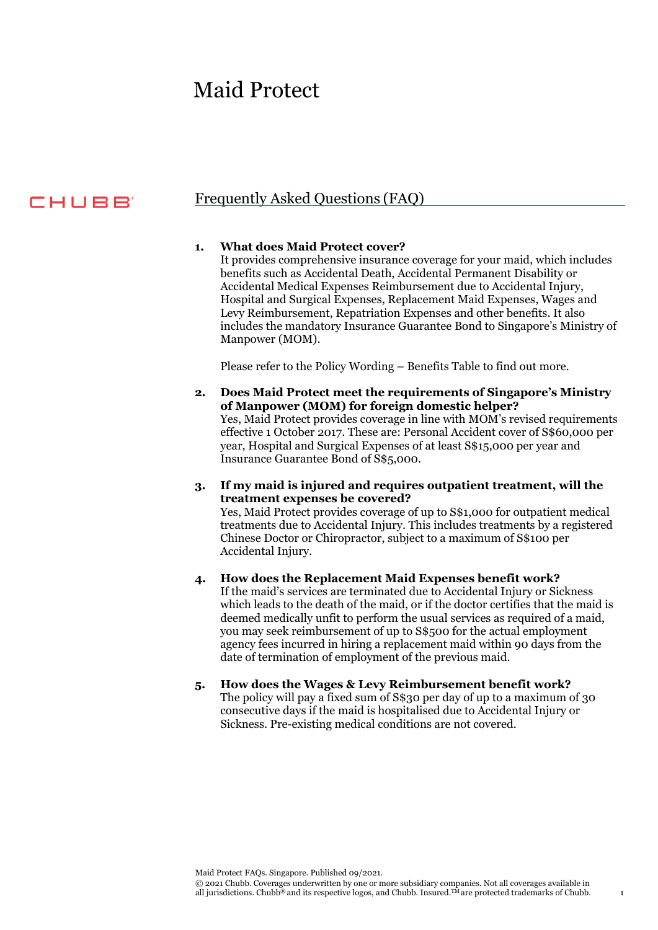# Maid Protect

# CHUBB

# Frequently Asked Questions (FAQ)

#### **1. What does Maid Protect cover?**

It provides comprehensive insurance coverage for your maid, which includes benefits such as Accidental Death, Accidental Permanent Disability or Accidental Medical Expenses Reimbursement due to Accidental Injury, Hospital and Surgical Expenses, Replacement Maid Expenses, Wages and Levy Reimbursement, Repatriation Expenses and other benefits. It also includes the mandatory Insurance Guarantee Bond to Singapore's Ministry of Manpower (MOM).

Please refer to the Policy Wording – Benefits Table to find out more.

- **2. Does Maid Protect meet the requirements of Singapore's Ministry of Manpower (MOM) for foreign domestic helper?** Yes, Maid Protect provides coverage in line with MOM's revised requirements effective 1 October 2017. These are: Personal Accident cover of S\$60,000 per year, Hospital and Surgical Expenses of at least S\$15,000 per year and Insurance Guarantee Bond of S\$5,000.
- **3. If my maid is injured and requires outpatient treatment, will the treatment expenses be covered?**

Yes, Maid Protect provides coverage of up to S\$1,000 for outpatient medical treatments due to Accidental Injury. This includes treatments by a registered Chinese Doctor or Chiropractor, subject to a maximum of S\$100 per Accidental Injury.

#### **4. How does the Replacement Maid Expenses benefit work?**

If the maid's services are terminated due to Accidental Injury or Sickness which leads to the death of the maid, or if the doctor certifies that the maid is deemed medically unfit to perform the usual services as required of a maid, you may seek reimbursement of up to S\$500 for the actual employment agency fees incurred in hiring a replacement maid within 90 days from the date of termination of employment of the previous maid.

**5. How does the Wages & Levy Reimbursement benefit work?** The policy will pay a fixed sum of S\$30 per day of up to a maximum of 30 consecutive days if the maid is hospitalised due to Accidental Injury or Sickness. Pre-existing medical conditions are not covered.

Maid Protect FAQs. Singapore. Published 09/2021.

© 2021 Chubb. Coverages underwritten by one or more subsidiary companies. Not all coverages available in all jurisdictions. Chubb® and its respective logos, and Chubb. Insured.<sup>TM</sup> are protected trademarks of Chubb. 1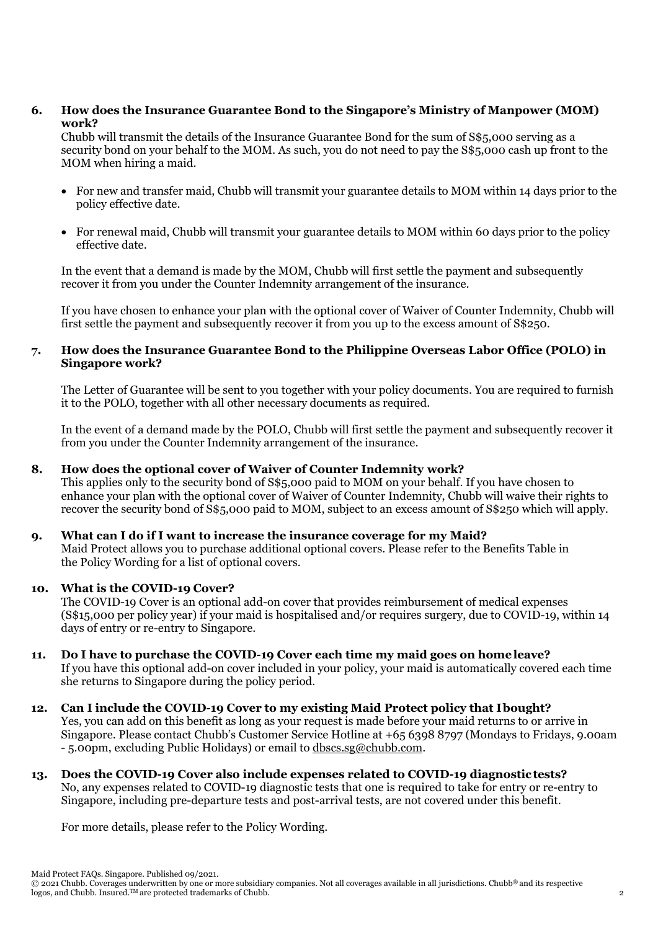**6. How does the Insurance Guarantee Bond to the Singapore's Ministry of Manpower (MOM) work?**

Chubb will transmit the details of the Insurance Guarantee Bond for the sum of S\$5,000 serving as a security bond on your behalf to the MOM. As such, you do not need to pay the S\$5,000 cash up front to the MOM when hiring a maid.

- For new and transfer maid, Chubb will transmit your guarantee details to MOM within 14 days prior to the policy effective date.
- For renewal maid, Chubb will transmit your guarantee details to MOM within 60 days prior to the policy effective date.

In the event that a demand is made by the MOM, Chubb will first settle the payment and subsequently recover it from you under the Counter Indemnity arrangement of the insurance.

If you have chosen to enhance your plan with the optional cover of Waiver of Counter Indemnity, Chubb will first settle the payment and subsequently recover it from you up to the excess amount of S\$250.

## **7. How does the Insurance Guarantee Bond to the Philippine Overseas Labor Office (POLO) in Singapore work?**

The Letter of Guarantee will be sent to you together with your policy documents. You are required to furnish it to the POLO, together with all other necessary documents as required.

In the event of a demand made by the POLO, Chubb will first settle the payment and subsequently recover it from you under the Counter Indemnity arrangement of the insurance.

#### **8. How does the optional cover of Waiver of Counter Indemnity work?**

This applies only to the security bond of S\$5,000 paid to MOM on your behalf. If you have chosen to enhance your plan with the optional cover of Waiver of Counter Indemnity, Chubb will waive their rights to recover the security bond of S\$5,000 paid to MOM, subject to an excess amount of S\$250 which will apply.

#### **9. What can I do if I want to increase the insurance coverage for my Maid?**

Maid Protect allows you to purchase additional optional covers. Please refer to the Benefits Table in th[e Policy Wording f](https://apacsteadbspltfmcdn.azureedge.net/MaidProtect/maid_protect_policy_wording.pdf?v=1)or a list of optional covers.

#### **10. What is the COVID-19 Cover?**

The COVID-19 Cover is an optional add-on cover that provides reimbursement of medical expenses (S\$15,000 per policy year) if your maid is hospitalised and/or requires surgery, due to COVID-19, within 14 days of entry or re-entry to Singapore.

**11. Do I have to purchase the COVID-19 Cover each time my maid goes on homeleave?** If you have this optional add-on cover included in your policy, your maid is automatically covered each time she returns to Singapore during the policy period.

# **12. Can I include the COVID-19 Cover to my existing Maid Protect policy that Ibought?**

Yes, you can add on this benefit as long as your request is made before your maid returns to or arrive in Singapore. Please contact Chubb's Customer Service Hotline at +65 6398 8797 (Mondays to Fridays, 9.00am - 5.00pm, excluding Public Holidays) or email to [dbscs.sg@chubb.com.](mailto:dbscs.sg@chubb.com)

**13. Does the COVID-19 Cover also include expenses related to COVID-19 diagnostictests?** No, any expenses related to COVID-19 diagnostic tests that one is required to take for entry or re-entry to Singapore, including pre-departure tests and post-arrival tests, are not covered under this benefit.

For more details, please refer to the Policy Wording.